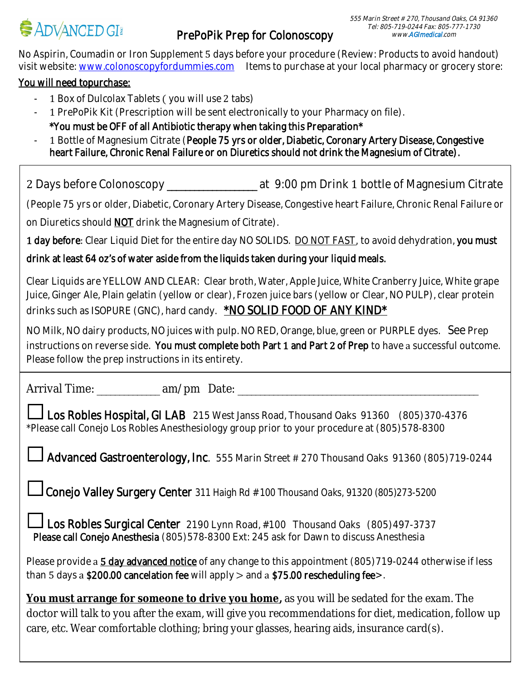No Aspirin, Coumadin or Iron Supplement  $5$  days before your procedure (Review: Products to avoid handout) visit website: www.colonoscopyfordummies.com ltems to purchase at your local pharmacy or grocery store:

## You will need topurchase:

- $1$  Box of Dulcolax Tablets ( you will use  $2$  tabs)
- 1 PrePoPik Kit (Prescription will be sent electronically to your Pharmacy on file). \*You must be OFF of all Antibiotic therapy when taking this Preparation\*
- 1 Bottle of Magnesium Citrate (People 75 yrs or older, Diabetic, Coronary Artery Disease, Congestive heart Failure, Chronic Renal Failure or on Diuretics should not drink the Magnesium of Citrate).

2 Days before Colonoscopy \_\_\_\_\_\_\_\_\_\_\_\_\_\_\_\_\_\_\_\_\_ at 9:00 pm Drink 1 bottle of Magnesium Citrate

(People 75 yrs or older, Diabetic, Coronary Artery Disease, Congestive heart Failure, Chronic Renal Failure or on Diuretics should **NOT** drink the Magnesium of Citrate).

1 day before: Clear Liquid Diet for the entire day NO SOLIDS. DO NOT FAST, to avoid dehydration, you must

drink at least 64 oz's of water aside from the liquids taken during your liquid meals.

Clear Liquids are YELLOW AND CLEAR: Clear broth, Water, Apple Juice, White Cranberry Juice, White grape Juice, Ginger Ale, Plain gelatin (yellow or clear), Frozen juice bars (yellow or Clear, NO PULP), clear protein drinks such as ISOPURE (GNC), hard candy. **\*NO SOLID FOOD OF ANY KIND\*** 

NO Milk, NO dairy products, NO juices with pulp. NO RED, Orange, blue, green or PURPLE dyes. See Prep instructions on reverse side. You must complete both Part  $1$  and Part  $2$  of Prep to have a successful outcome. Please follow the prep instructions in its entirety.

Arrival Time: \_\_\_\_\_\_\_\_\_\_\_\_\_\_ am/pm Date: \_\_\_\_\_\_\_\_\_\_\_\_\_\_\_\_\_\_\_\_\_\_\_\_\_\_\_\_\_\_\_\_\_\_\_\_\_\_\_\_\_\_\_\_\_\_\_\_\_\_\_\_\_\_ 

 $\perp$  Los Robles Hospital, GI LAB  $\,$  215 West Janss Road, Thousand Oaks  $\,$  91360  $\,$  (805)370-4376  $\,$ \*Please call Conejo Los Robles Anesthesiology group prior to your procedure at (805)578-8300

Advanced Gastroenterology, Inc. 555 Marin Street # 270 Thousand Oaks 91360 (805)719-0244

**Conejo Valley Surgery Center** 311 Haigh Rd  $#$  100 Thousand Oaks, 91320 (805)273-5200

Los Robles Surgical Center 2190 Lynn Road, #100 Thousand Oaks (805)497-3737 Please call Conejo Anesthesia (805)578-8300 Ext: 245 ask for Dawn to discuss Anesthesia

than  $5\,$  days a **\$200.00 cancelation fee** will apply  $\gt$  and a **\$75.00 rescheduling fee** $\gt$ **.** Please provide a 5 day advanced notice of any change to this appointment (805)719-0244 otherwise if less

 **You must arrange for someone to drive you home,** as you will be sedated for the exam. The doctor will talk to you after the exam, will give you recommendations for diet, medication, follow up<br>ears, etc. Wear comfortable clathing, bring your glasses, bearing eids, incurance eard(s). j care, etc. Wear comfortable clothing; bring your glasses, hearing aids, insurance card(s).